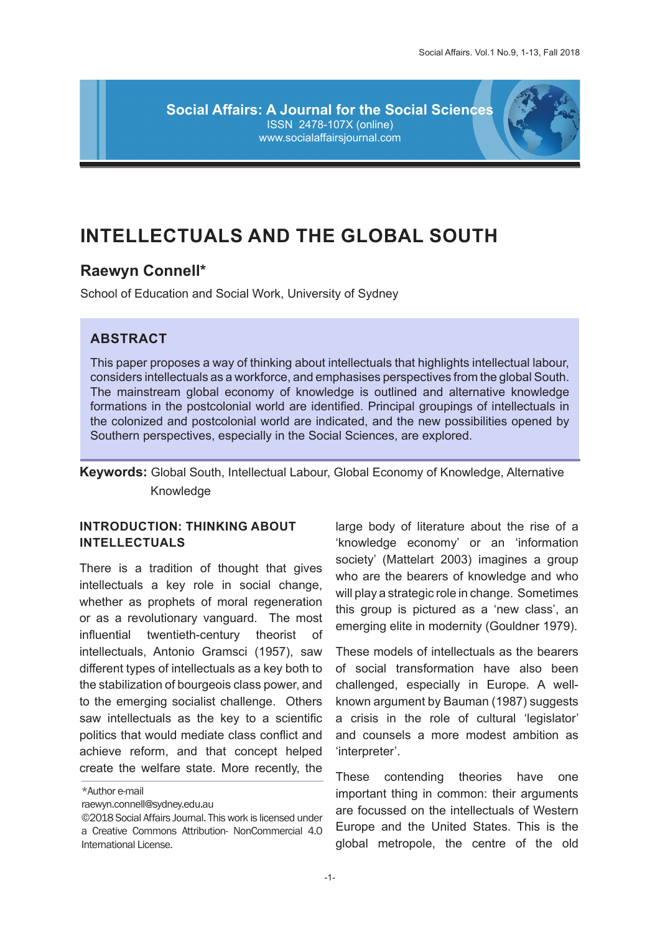**Social Affairs: A Journal for the Social Sciences** ISSN 2478-107X (online) www.socialaffairsjournal.com

# **INTELLECTUALS AND THE GLOBAL SOUTH**

# **Raewyn Connell\***

School of Education and Social Work, University of Sydney

## **ABSTRACT**

This paper proposes a way of thinking about intellectuals that highlights intellectual labour, considers intellectuals as a workforce, and emphasises perspectives from the global South. The mainstream global economy of knowledge is outlined and alternative knowledge formations in the postcolonial world are identified. Principal groupings of intellectuals in the colonized and postcolonial world are indicated, and the new possibilities opened by Southern perspectives, especially in the Social Sciences, are explored.

**Keywords:** Global South, Intellectual Labour, Global Economy of Knowledge, Alternative Knowledge

## **INTRODUCTION: THINKING ABOUT INTELLECTUALS**

There is a tradition of thought that gives intellectuals a key role in social change, whether as prophets of moral regeneration or as a revolutionary vanguard. The most influential twentieth-century theorist of intellectuals, Antonio Gramsci (1957), saw different types of intellectuals as a key both to the stabilization of bourgeois class power, and to the emerging socialist challenge. Others saw intellectuals as the key to a scientific politics that would mediate class conflict and achieve reform, and that concept helped create the welfare state. More recently, the

\*Author e-mail

raewyn.connell@sydney.edu.au

large body of literature about the rise of a 'knowledge economy' or an 'information society' (Mattelart 2003) imagines a group who are the bearers of knowledge and who will play a strategic role in change. Sometimes this group is pictured as a 'new class', an emerging elite in modernity (Gouldner 1979).

These models of intellectuals as the bearers of social transformation have also been challenged, especially in Europe. A wellknown argument by Bauman (1987) suggests a crisis in the role of cultural 'legislator' and counsels a more modest ambition as 'interpreter'.

These contending theories have one important thing in common: their arguments are focussed on the intellectuals of Western Europe and the United States. This is the global metropole, the centre of the old

<sup>©2018</sup> Social Affairs Journal. This work is licensed under a Creative Commons Attribution- NonCommercial 4.0 International License.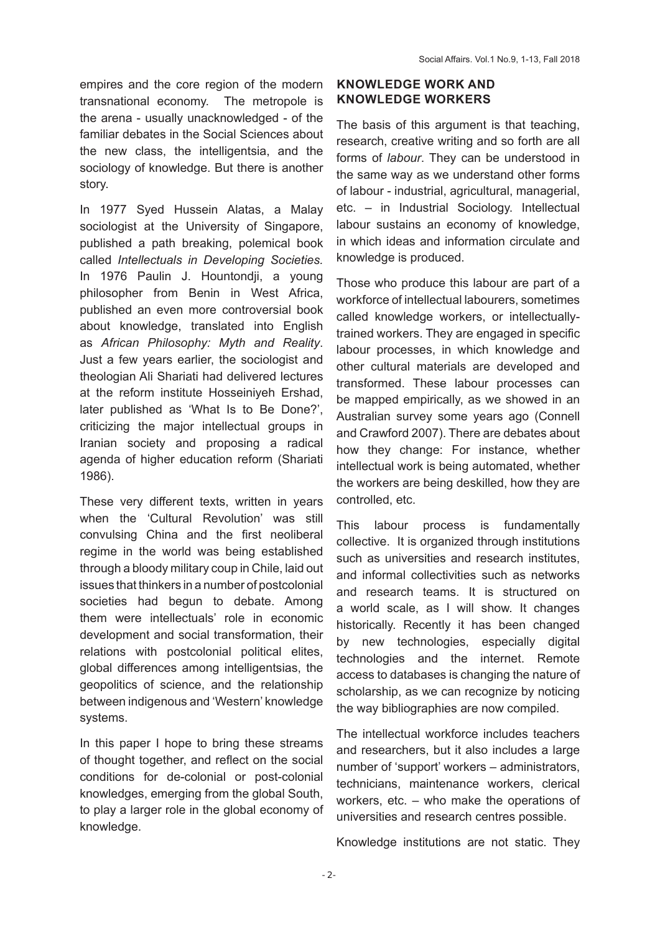empires and the core region of the modern transnational economy. The metropole is the arena - usually unacknowledged - of the familiar debates in the Social Sciences about the new class, the intelligentsia, and the sociology of knowledge. But there is another story.

In 1977 Syed Hussein Alatas, a Malay sociologist at the University of Singapore, published a path breaking, polemical book called *Intellectuals in Developing Societies.* In 1976 Paulin J. Hountondji, a young philosopher from Benin in West Africa, published an even more controversial book about knowledge, translated into English as *African Philosophy: Myth and Reality*. Just a few years earlier, the sociologist and theologian Ali Shariati had delivered lectures at the reform institute Hosseiniyeh Ershad, later published as 'What Is to Be Done?', criticizing the major intellectual groups in Iranian society and proposing a radical agenda of higher education reform (Shariati 1986).

These very different texts, written in years when the 'Cultural Revolution' was still convulsing China and the first neoliberal regime in the world was being established through a bloody military coup in Chile, laid out issues that thinkers in a number of postcolonial societies had begun to debate. Among them were intellectuals' role in economic development and social transformation, their relations with postcolonial political elites, global differences among intelligentsias, the geopolitics of science, and the relationship between indigenous and 'Western' knowledge systems.

In this paper I hope to bring these streams of thought together, and reflect on the social conditions for de-colonial or post-colonial knowledges, emerging from the global South, to play a larger role in the global economy of knowledge.

### **KNOWLEDGE WORK AND KNOWLEDGE WORKERS**

The basis of this argument is that teaching, research, creative writing and so forth are all forms of *labour*. They can be understood in the same way as we understand other forms of labour - industrial, agricultural, managerial, etc. – in Industrial Sociology. Intellectual labour sustains an economy of knowledge, in which ideas and information circulate and knowledge is produced.

Those who produce this labour are part of a workforce of intellectual labourers, sometimes called knowledge workers, or intellectuallytrained workers. They are engaged in specific labour processes, in which knowledge and other cultural materials are developed and transformed. These labour processes can be mapped empirically, as we showed in an Australian survey some years ago (Connell and Crawford 2007). There are debates about how they change: For instance, whether intellectual work is being automated, whether the workers are being deskilled, how they are controlled, etc.

This labour process is fundamentally collective. It is organized through institutions such as universities and research institutes, and informal collectivities such as networks and research teams. It is structured on a world scale, as I will show. It changes historically. Recently it has been changed by new technologies, especially digital technologies and the internet. Remote access to databases is changing the nature of scholarship, as we can recognize by noticing the way bibliographies are now compiled.

The intellectual workforce includes teachers and researchers, but it also includes a large number of 'support' workers – administrators, technicians, maintenance workers, clerical workers, etc. – who make the operations of universities and research centres possible.

Knowledge institutions are not static. They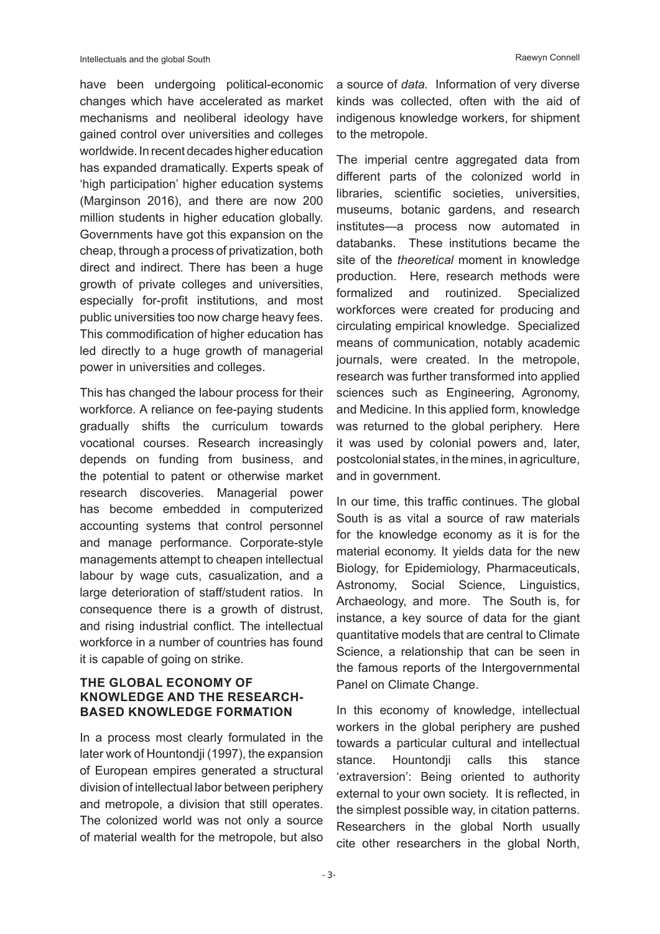have been undergoing political-economic changes which have accelerated as market mechanisms and neoliberal ideology have gained control over universities and colleges worldwide. In recent decades higher education has expanded dramatically. Experts speak of 'high participation' higher education systems (Marginson 2016), and there are now 200 million students in higher education globally. Governments have got this expansion on the cheap, through a process of privatization, both direct and indirect. There has been a huge growth of private colleges and universities, especially for-profit institutions, and most public universities too now charge heavy fees. This commodification of higher education has led directly to a huge growth of managerial power in universities and colleges.

This has changed the labour process for their workforce. A reliance on fee-paying students gradually shifts the curriculum towards vocational courses. Research increasingly depends on funding from business, and the potential to patent or otherwise market research discoveries. Managerial power has become embedded in computerized accounting systems that control personnel and manage performance. Corporate-style managements attempt to cheapen intellectual labour by wage cuts, casualization, and a large deterioration of staff/student ratios. In consequence there is a growth of distrust, and rising industrial conflict. The intellectual workforce in a number of countries has found it is capable of going on strike.

### **THE GLOBAL ECONOMY OF KNOWLEDGE AND THE RESEARCH-BASED KNOWLEDGE FORMATION**

In a process most clearly formulated in the later work of Hountondji (1997), the expansion of European empires generated a structural division of intellectual labor between periphery and metropole, a division that still operates. The colonized world was not only a source of material wealth for the metropole, but also

a source of *data.* Information of very diverse kinds was collected, often with the aid of indigenous knowledge workers, for shipment to the metropole.

The imperial centre aggregated data from different parts of the colonized world in libraries, scientific societies, universities, museums, botanic gardens, and research institutes—a process now automated in databanks. These institutions became the site of the *theoretical* moment in knowledge production. Here, research methods were formalized and routinized. Specialized workforces were created for producing and circulating empirical knowledge. Specialized means of communication, notably academic journals, were created. In the metropole, research was further transformed into applied sciences such as Engineering, Agronomy, and Medicine. In this applied form, knowledge was returned to the global periphery. Here it was used by colonial powers and, later, postcolonial states, in the mines, in agriculture, and in government.

In our time, this traffic continues. The global South is as vital a source of raw materials for the knowledge economy as it is for the material economy. It yields data for the new Biology, for Epidemiology, Pharmaceuticals, Astronomy, Social Science, Linguistics, Archaeology, and more. The South is, for instance, a key source of data for the giant quantitative models that are central to Climate Science, a relationship that can be seen in the famous reports of the Intergovernmental Panel on Climate Change.

In this economy of knowledge, intellectual workers in the global periphery are pushed towards a particular cultural and intellectual stance. Hountondii calls this stance 'extraversion': Being oriented to authority external to your own society. It is reflected, in the simplest possible way, in citation patterns. Researchers in the global North usually cite other researchers in the global North,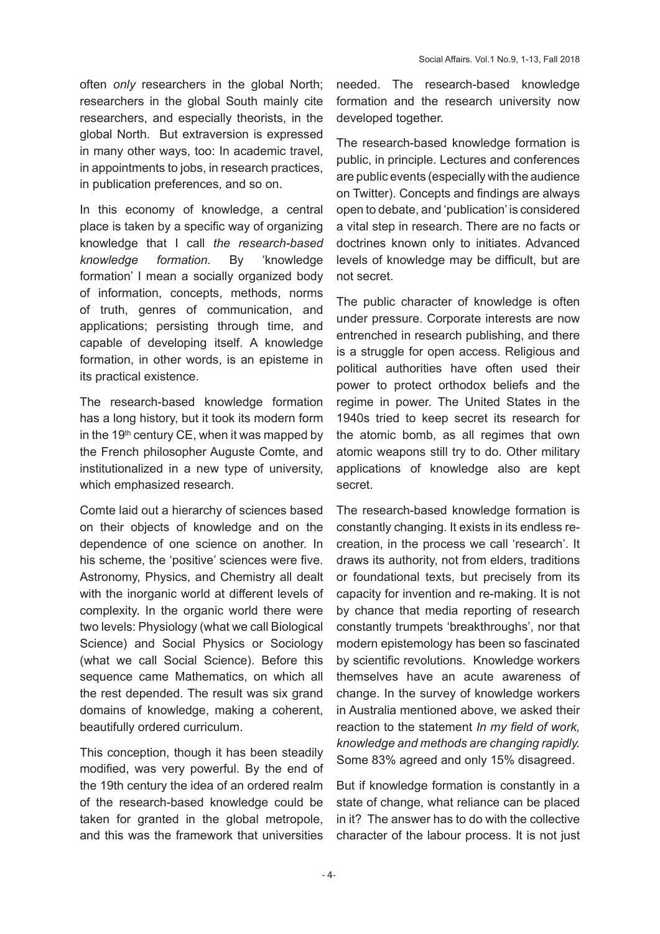often *only* researchers in the global North; researchers in the global South mainly cite researchers, and especially theorists, in the global North. But extraversion is expressed in many other ways, too: In academic travel, in appointments to jobs, in research practices, in publication preferences, and so on.

In this economy of knowledge, a central place is taken by a specific way of organizing knowledge that I call *the research-based knowledge formation.* By 'knowledge formation' I mean a socially organized body of information, concepts, methods, norms of truth, genres of communication, and applications; persisting through time, and capable of developing itself. A knowledge formation, in other words, is an episteme in its practical existence.

The research-based knowledge formation has a long history, but it took its modern form in the  $19<sup>th</sup>$  century CE, when it was mapped by the French philosopher Auguste Comte, and institutionalized in a new type of university, which emphasized research.

Comte laid out a hierarchy of sciences based on their objects of knowledge and on the dependence of one science on another. In his scheme, the 'positive' sciences were five. Astronomy, Physics, and Chemistry all dealt with the inorganic world at different levels of complexity. In the organic world there were two levels: Physiology (what we call Biological Science) and Social Physics or Sociology (what we call Social Science). Before this sequence came Mathematics, on which all the rest depended. The result was six grand domains of knowledge, making a coherent, beautifully ordered curriculum.

This conception, though it has been steadily modified, was very powerful. By the end of the 19th century the idea of an ordered realm of the research-based knowledge could be taken for granted in the global metropole, and this was the framework that universities

needed. The research-based knowledge formation and the research university now developed together.

The research-based knowledge formation is public, in principle. Lectures and conferences are public events (especially with the audience on Twitter). Concepts and findings are always open to debate, and 'publication' is considered a vital step in research. There are no facts or doctrines known only to initiates. Advanced levels of knowledge may be difficult, but are not secret.

The public character of knowledge is often under pressure. Corporate interests are now entrenched in research publishing, and there is a struggle for open access. Religious and political authorities have often used their power to protect orthodox beliefs and the regime in power. The United States in the 1940s tried to keep secret its research for the atomic bomb, as all regimes that own atomic weapons still try to do. Other military applications of knowledge also are kept secret.

The research-based knowledge formation is constantly changing. It exists in its endless recreation, in the process we call 'research'. It draws its authority, not from elders, traditions or foundational texts, but precisely from its capacity for invention and re-making. It is not by chance that media reporting of research constantly trumpets 'breakthroughs', nor that modern epistemology has been so fascinated by scientific revolutions. Knowledge workers themselves have an acute awareness of change. In the survey of knowledge workers in Australia mentioned above, we asked their reaction to the statement *In my field of work, knowledge and methods are changing rapidly.* Some 83% agreed and only 15% disagreed.

But if knowledge formation is constantly in a state of change, what reliance can be placed in it? The answer has to do with the collective character of the labour process. It is not just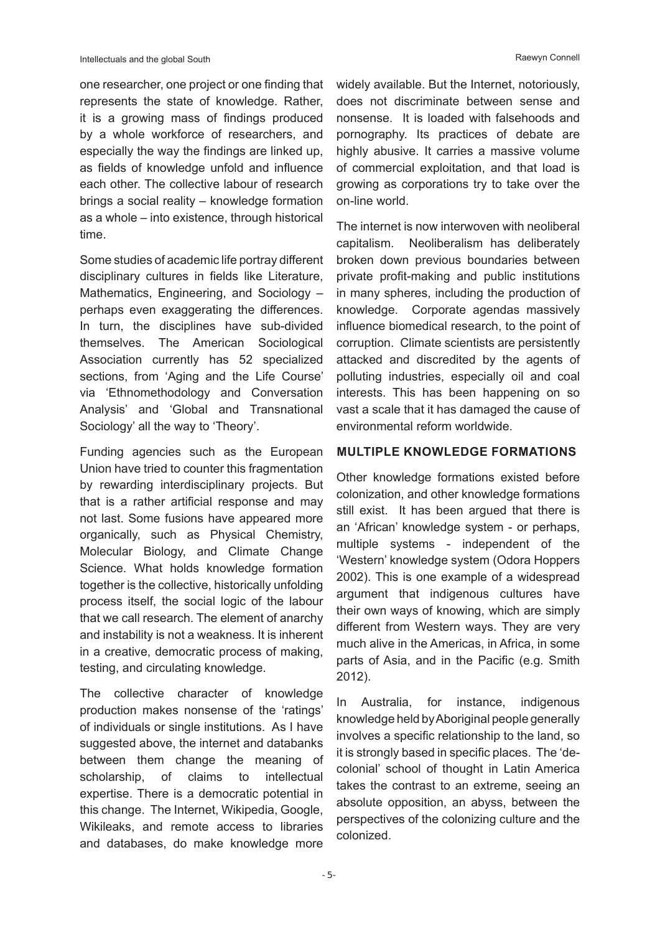one researcher, one project or one finding that represents the state of knowledge. Rather, it is a growing mass of findings produced by a whole workforce of researchers, and especially the way the findings are linked up, as fields of knowledge unfold and influence each other. The collective labour of research brings a social reality – knowledge formation as a whole – into existence, through historical time.

Some studies of academic life portray different disciplinary cultures in fields like Literature, Mathematics, Engineering, and Sociology – perhaps even exaggerating the differences. In turn, the disciplines have sub-divided themselves. The American Sociological Association currently has 52 specialized sections, from 'Aging and the Life Course' via 'Ethnomethodology and Conversation Analysis' and 'Global and Transnational Sociology' all the way to 'Theory'.

Funding agencies such as the European Union have tried to counter this fragmentation by rewarding interdisciplinary projects. But that is a rather artificial response and may not last. Some fusions have appeared more organically, such as Physical Chemistry, Molecular Biology, and Climate Change Science. What holds knowledge formation together is the collective, historically unfolding process itself, the social logic of the labour that we call research. The element of anarchy and instability is not a weakness. It is inherent in a creative, democratic process of making, testing, and circulating knowledge.

The collective character of knowledge production makes nonsense of the 'ratings' of individuals or single institutions. As I have suggested above, the internet and databanks between them change the meaning of scholarship, of claims to intellectual expertise. There is a democratic potential in this change. The Internet, Wikipedia, Google, Wikileaks, and remote access to libraries and databases, do make knowledge more

widely available. But the Internet, notoriously, does not discriminate between sense and nonsense. It is loaded with falsehoods and pornography. Its practices of debate are highly abusive. It carries a massive volume of commercial exploitation, and that load is growing as corporations try to take over the on-line world.

The internet is now interwoven with neoliberal capitalism. Neoliberalism has deliberately broken down previous boundaries between private profit-making and public institutions in many spheres, including the production of knowledge. Corporate agendas massively influence biomedical research, to the point of corruption. Climate scientists are persistently attacked and discredited by the agents of polluting industries, especially oil and coal interests. This has been happening on so vast a scale that it has damaged the cause of environmental reform worldwide.

#### **MULTIPLE KNOWLEDGE FORMATIONS**

Other knowledge formations existed before colonization, and other knowledge formations still exist. It has been argued that there is an 'African' knowledge system - or perhaps, multiple systems - independent of the 'Western' knowledge system (Odora Hoppers 2002). This is one example of a widespread argument that indigenous cultures have their own ways of knowing, which are simply different from Western ways. They are very much alive in the Americas, in Africa, in some parts of Asia, and in the Pacific (e.g. Smith 2012).

In Australia, for instance, indigenous knowledge held by Aboriginal people generally involves a specific relationship to the land, so it is strongly based in specific places. The 'decolonial' school of thought in Latin America takes the contrast to an extreme, seeing an absolute opposition, an abyss, between the perspectives of the colonizing culture and the colonized.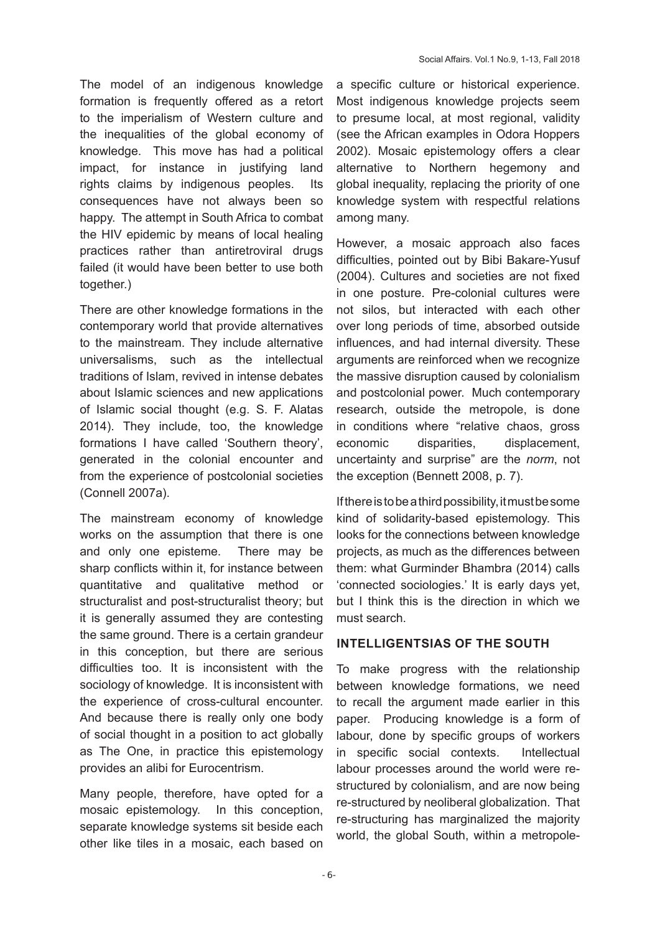The model of an indigenous knowledge formation is frequently offered as a retort to the imperialism of Western culture and the inequalities of the global economy of knowledge. This move has had a political impact, for instance in justifying land rights claims by indigenous peoples. Its consequences have not always been so happy. The attempt in South Africa to combat the HIV epidemic by means of local healing practices rather than antiretroviral drugs failed (it would have been better to use both together.)

There are other knowledge formations in the contemporary world that provide alternatives to the mainstream. They include alternative universalisms, such as the intellectual traditions of Islam, revived in intense debates about Islamic sciences and new applications of Islamic social thought (e.g. S. F. Alatas 2014). They include, too, the knowledge formations I have called 'Southern theory', generated in the colonial encounter and from the experience of postcolonial societies (Connell 2007a).

The mainstream economy of knowledge works on the assumption that there is one and only one episteme. There may be sharp conflicts within it, for instance between quantitative and qualitative method or structuralist and post-structuralist theory; but it is generally assumed they are contesting the same ground. There is a certain grandeur in this conception, but there are serious difficulties too. It is inconsistent with the sociology of knowledge. It is inconsistent with the experience of cross-cultural encounter. And because there is really only one body of social thought in a position to act globally as The One, in practice this epistemology provides an alibi for Eurocentrism.

Many people, therefore, have opted for a mosaic epistemology. In this conception, separate knowledge systems sit beside each other like tiles in a mosaic, each based on

a specific culture or historical experience. Most indigenous knowledge projects seem to presume local, at most regional, validity (see the African examples in Odora Hoppers 2002). Mosaic epistemology offers a clear alternative to Northern hegemony and global inequality, replacing the priority of one knowledge system with respectful relations among many.

However, a mosaic approach also faces difficulties, pointed out by Bibi Bakare-Yusuf (2004). Cultures and societies are not fixed in one posture. Pre-colonial cultures were not silos, but interacted with each other over long periods of time, absorbed outside influences, and had internal diversity. These arguments are reinforced when we recognize the massive disruption caused by colonialism and postcolonial power. Much contemporary research, outside the metropole, is done in conditions where "relative chaos, gross economic disparities, displacement, uncertainty and surprise" are the *norm*, not the exception (Bennett 2008, p. 7).

If there is to be a third possibility, it must be some kind of solidarity-based epistemology. This looks for the connections between knowledge projects, as much as the differences between them: what Gurminder Bhambra (2014) calls 'connected sociologies.' It is early days yet, but I think this is the direction in which we must search.

### **INTELLIGENTSIAS OF THE SOUTH**

To make progress with the relationship between knowledge formations, we need to recall the argument made earlier in this paper. Producing knowledge is a form of labour, done by specific groups of workers in specific social contexts. Intellectual labour processes around the world were restructured by colonialism, and are now being re-structured by neoliberal globalization. That re-structuring has marginalized the majority world, the global South, within a metropole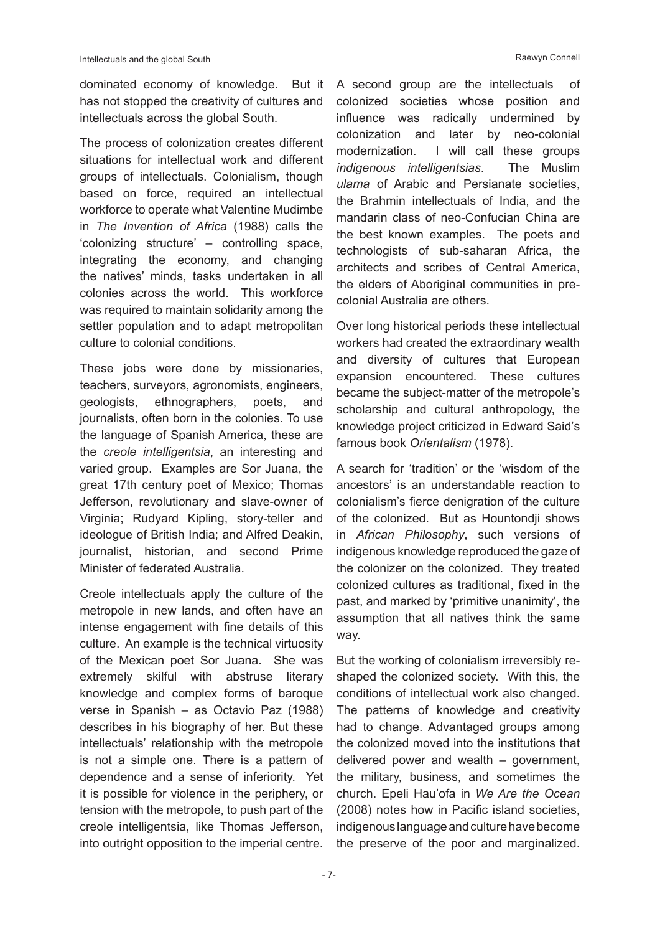dominated economy of knowledge. But it has not stopped the creativity of cultures and intellectuals across the global South.

The process of colonization creates different situations for intellectual work and different groups of intellectuals. Colonialism, though based on force, required an intellectual workforce to operate what Valentine Mudimbe in *The Invention of Africa* (1988) calls the 'colonizing structure' – controlling space, integrating the economy, and changing the natives' minds, tasks undertaken in all colonies across the world. This workforce was required to maintain solidarity among the settler population and to adapt metropolitan culture to colonial conditions.

These jobs were done by missionaries, teachers, surveyors, agronomists, engineers, geologists, ethnographers, poets, and journalists, often born in the colonies. To use the language of Spanish America, these are the *creole intelligentsia*, an interesting and varied group. Examples are Sor Juana, the great 17th century poet of Mexico; Thomas Jefferson, revolutionary and slave-owner of Virginia; Rudyard Kipling, story-teller and ideologue of British India; and Alfred Deakin, journalist, historian, and second Prime Minister of federated Australia.

Creole intellectuals apply the culture of the metropole in new lands, and often have an intense engagement with fine details of this culture. An example is the technical virtuosity of the Mexican poet Sor Juana. She was extremely skilful with abstruse literary knowledge and complex forms of baroque verse in Spanish – as Octavio Paz (1988) describes in his biography of her. But these intellectuals' relationship with the metropole is not a simple one. There is a pattern of dependence and a sense of inferiority. Yet it is possible for violence in the periphery, or tension with the metropole, to push part of the creole intelligentsia, like Thomas Jefferson, into outright opposition to the imperial centre. A second group are the intellectuals of colonized societies whose position and influence was radically undermined by colonization and later by neo-colonial modernization. I will call these groups *indigenous intelligentsias*. The Muslim *ulama* of Arabic and Persianate societies, the Brahmin intellectuals of India, and the mandarin class of neo-Confucian China are the best known examples. The poets and technologists of sub-saharan Africa, the architects and scribes of Central America, the elders of Aboriginal communities in precolonial Australia are others.

Over long historical periods these intellectual workers had created the extraordinary wealth and diversity of cultures that European expansion encountered. These cultures became the subject-matter of the metropole's scholarship and cultural anthropology, the knowledge project criticized in Edward Said's famous book *Orientalism* (1978).

A search for 'tradition' or the 'wisdom of the ancestors' is an understandable reaction to colonialism's fierce denigration of the culture of the colonized. But as Hountondji shows in *African Philosophy*, such versions of indigenous knowledge reproduced the gaze of the colonizer on the colonized. They treated colonized cultures as traditional, fixed in the past, and marked by 'primitive unanimity', the assumption that all natives think the same way.

But the working of colonialism irreversibly reshaped the colonized society. With this, the conditions of intellectual work also changed. The patterns of knowledge and creativity had to change. Advantaged groups among the colonized moved into the institutions that delivered power and wealth – government, the military, business, and sometimes the church. Epeli Hau'ofa in *We Are the Ocean*  (2008) notes how in Pacific island societies, indigenous language and culture have become the preserve of the poor and marginalized.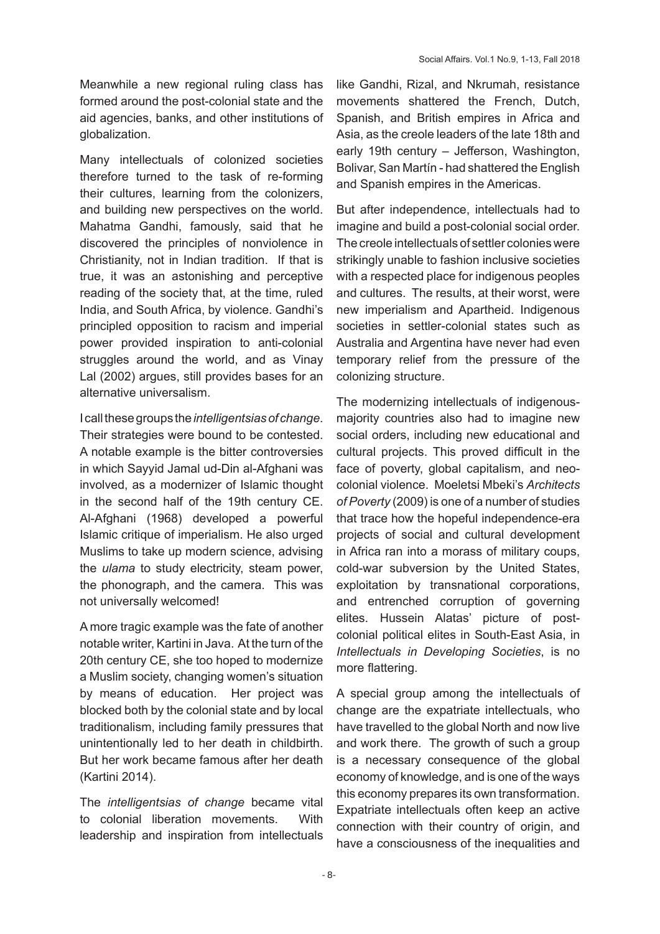Many intellectuals of colonized societies therefore turned to the task of re-forming their cultures, learning from the colonizers, and building new perspectives on the world. Mahatma Gandhi, famously, said that he discovered the principles of nonviolence in Christianity, not in Indian tradition. If that is true, it was an astonishing and perceptive reading of the society that, at the time, ruled India, and South Africa, by violence. Gandhi's principled opposition to racism and imperial power provided inspiration to anti-colonial struggles around the world, and as Vinay Lal (2002) argues, still provides bases for an alternative universalism.

aid agencies, banks, and other institutions of

globalization.

I call these groups the *intelligentsias of change*. Their strategies were bound to be contested. A notable example is the bitter controversies in which Sayyid Jamal ud-Din al-Afghani was involved, as a modernizer of Islamic thought in the second half of the 19th century CE. Al-Afghani (1968) developed a powerful Islamic critique of imperialism. He also urged Muslims to take up modern science, advising the *ulama* to study electricity, steam power, the phonograph, and the camera. This was not universally welcomed!

A more tragic example was the fate of another notable writer, Kartini in Java. At the turn of the 20th century CE, she too hoped to modernize a Muslim society, changing women's situation by means of education. Her project was blocked both by the colonial state and by local traditionalism, including family pressures that unintentionally led to her death in childbirth. But her work became famous after her death (Kartini 2014).

The *intelligentsias of change* became vital to colonial liberation movements. With leadership and inspiration from intellectuals like Gandhi, Rizal, and Nkrumah, resistance movements shattered the French, Dutch, Spanish, and British empires in Africa and Asia, as the creole leaders of the late 18th and early 19th century – Jefferson, Washington, Bolivar, San Martín - had shattered the English and Spanish empires in the Americas.

But after independence, intellectuals had to imagine and build a post-colonial social order. The creole intellectuals of settler colonies were strikingly unable to fashion inclusive societies with a respected place for indigenous peoples and cultures. The results, at their worst, were new imperialism and Apartheid. Indigenous societies in settler-colonial states such as Australia and Argentina have never had even temporary relief from the pressure of the colonizing structure.

The modernizing intellectuals of indigenousmajority countries also had to imagine new social orders, including new educational and cultural projects. This proved difficult in the face of poverty, global capitalism, and neocolonial violence. Moeletsi Mbeki's *Architects of Poverty* (2009) is one of a number of studies that trace how the hopeful independence-era projects of social and cultural development in Africa ran into a morass of military coups, cold-war subversion by the United States, exploitation by transnational corporations, and entrenched corruption of governing elites. Hussein Alatas' picture of postcolonial political elites in South-East Asia, in *Intellectuals in Developing Societies*, is no more flattering.

A special group among the intellectuals of change are the expatriate intellectuals, who have travelled to the global North and now live and work there. The growth of such a group is a necessary consequence of the global economy of knowledge, and is one of the ways this economy prepares its own transformation. Expatriate intellectuals often keep an active connection with their country of origin, and have a consciousness of the inequalities and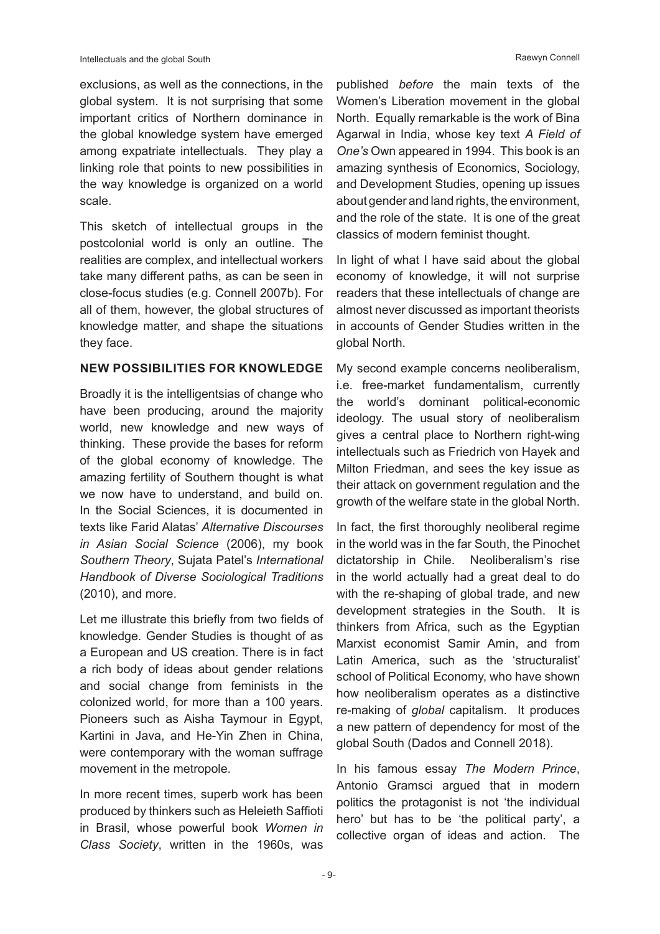exclusions, as well as the connections, in the global system. It is not surprising that some important critics of Northern dominance in the global knowledge system have emerged among expatriate intellectuals. They play a linking role that points to new possibilities in the way knowledge is organized on a world scale.

This sketch of intellectual groups in the postcolonial world is only an outline. The realities are complex, and intellectual workers take many different paths, as can be seen in close-focus studies (e.g. Connell 2007b). For all of them, however, the global structures of knowledge matter, and shape the situations they face.

#### **NEW POSSIBILITIES FOR KNOWLEDGE**

Broadly it is the intelligentsias of change who have been producing, around the majority world, new knowledge and new ways of thinking. These provide the bases for reform of the global economy of knowledge. The amazing fertility of Southern thought is what we now have to understand, and build on. In the Social Sciences, it is documented in texts like Farid Alatas' *Alternative Discourses in Asian Social Science* (2006), my book *Southern Theory*, Sujata Patel's *International Handbook of Diverse Sociological Traditions*  (2010), and more.

Let me illustrate this briefly from two fields of knowledge. Gender Studies is thought of as a European and US creation. There is in fact a rich body of ideas about gender relations and social change from feminists in the colonized world, for more than a 100 years. Pioneers such as Aisha Taymour in Egypt, Kartini in Java, and He-Yin Zhen in China, were contemporary with the woman suffrage movement in the metropole.

In more recent times, superb work has been produced by thinkers such as Heleieth Saffioti in Brasil, whose powerful book *Women in Class Society*, written in the 1960s, was published *before* the main texts of the Women's Liberation movement in the global North. Equally remarkable is the work of Bina Agarwal in India, whose key text *A Field of One's* Own appeared in 1994. This book is an amazing synthesis of Economics, Sociology, and Development Studies, opening up issues about gender and land rights, the environment, and the role of the state. It is one of the great classics of modern feminist thought.

In light of what I have said about the global economy of knowledge, it will not surprise readers that these intellectuals of change are almost never discussed as important theorists in accounts of Gender Studies written in the global North.

My second example concerns neoliberalism, i.e. free-market fundamentalism, currently the world's dominant political-economic ideology. The usual story of neoliberalism gives a central place to Northern right-wing intellectuals such as Friedrich von Hayek and Milton Friedman, and sees the key issue as their attack on government regulation and the growth of the welfare state in the global North.

In fact, the first thoroughly neoliberal regime in the world was in the far South, the Pinochet dictatorship in Chile. Neoliberalism's rise in the world actually had a great deal to do with the re-shaping of global trade, and new development strategies in the South. It is thinkers from Africa, such as the Egyptian Marxist economist Samir Amin, and from Latin America, such as the 'structuralist' school of Political Economy, who have shown how neoliberalism operates as a distinctive re-making of *global* capitalism. It produces a new pattern of dependency for most of the global South (Dados and Connell 2018).

In his famous essay *The Modern Prince*, Antonio Gramsci argued that in modern politics the protagonist is not 'the individual hero' but has to be 'the political party', a collective organ of ideas and action. The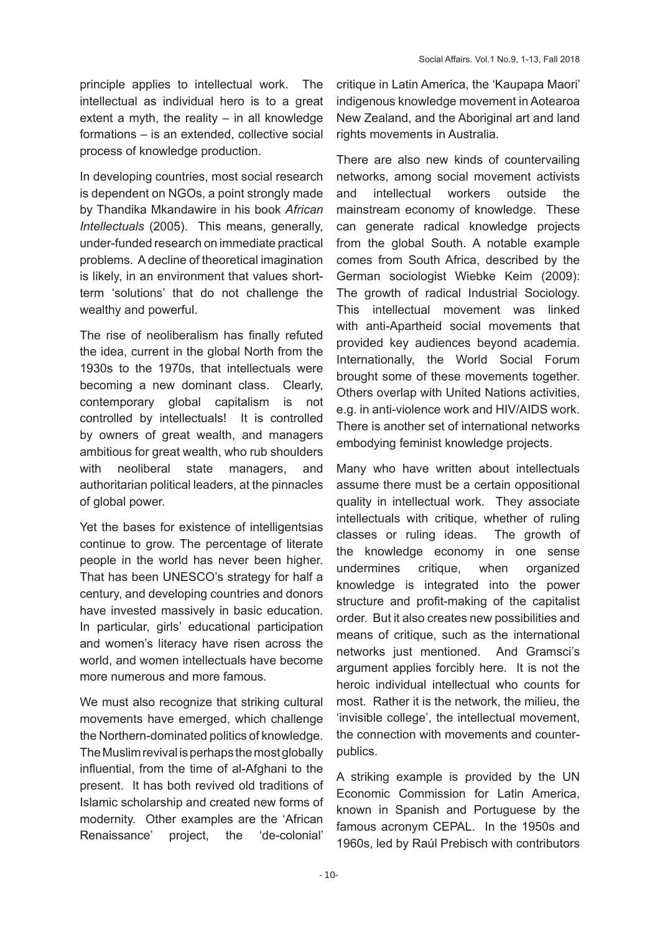principle applies to intellectual work. The intellectual as individual hero is to a great extent a myth, the reality  $-$  in all knowledge formations – is an extended, collective social process of knowledge production.

In developing countries, most social research is dependent on NGOs, a point strongly made by Thandika Mkandawire in his book *African Intellectuals* (2005). This means, generally, under-funded research on immediate practical problems. A decline of theoretical imagination is likely, in an environment that values shortterm 'solutions' that do not challenge the wealthy and powerful.

The rise of neoliberalism has finally refuted the idea, current in the global North from the 1930s to the 1970s, that intellectuals were becoming a new dominant class. Clearly, contemporary global capitalism is not controlled by intellectuals! It is controlled by owners of great wealth, and managers ambitious for great wealth, who rub shoulders with neoliberal state managers, and authoritarian political leaders, at the pinnacles of global power.

Yet the bases for existence of intelligentsias continue to grow. The percentage of literate people in the world has never been higher. That has been UNESCO's strategy for half a century, and developing countries and donors have invested massively in basic education. In particular, girls' educational participation and women's literacy have risen across the world, and women intellectuals have become more numerous and more famous.

We must also recognize that striking cultural movements have emerged, which challenge the Northern-dominated politics of knowledge. The Muslim revival is perhaps the most globally influential, from the time of al-Afghani to the present. It has both revived old traditions of Islamic scholarship and created new forms of modernity. Other examples are the 'African Renaissance' project, the 'de-colonial'

critique in Latin America, the 'Kaupapa Maori' indigenous knowledge movement in Aotearoa New Zealand, and the Aboriginal art and land rights movements in Australia.

There are also new kinds of countervailing networks, among social movement activists and intellectual workers outside the mainstream economy of knowledge. These can generate radical knowledge projects from the global South. A notable example comes from South Africa, described by the German sociologist Wiebke Keim (2009): The growth of radical Industrial Sociology. This intellectual movement was linked with anti-Apartheid social movements that provided key audiences beyond academia. Internationally, the World Social Forum brought some of these movements together. Others overlap with United Nations activities, e.g. in anti-violence work and HIV/AIDS work. There is another set of international networks embodying feminist knowledge projects.

Many who have written about intellectuals assume there must be a certain oppositional quality in intellectual work. They associate intellectuals with critique, whether of ruling classes or ruling ideas. The growth of the knowledge economy in one sense undermines critique, when organized knowledge is integrated into the power structure and profit-making of the capitalist order. But it also creates new possibilities and means of critique, such as the international networks just mentioned. And Gramsci's argument applies forcibly here. It is not the heroic individual intellectual who counts for most. Rather it is the network, the milieu, the 'invisible college', the intellectual movement, the connection with movements and counterpublics.

A striking example is provided by the UN Economic Commission for Latin America, known in Spanish and Portuguese by the famous acronym CEPAL. In the 1950s and 1960s, led by Raúl Prebisch with contributors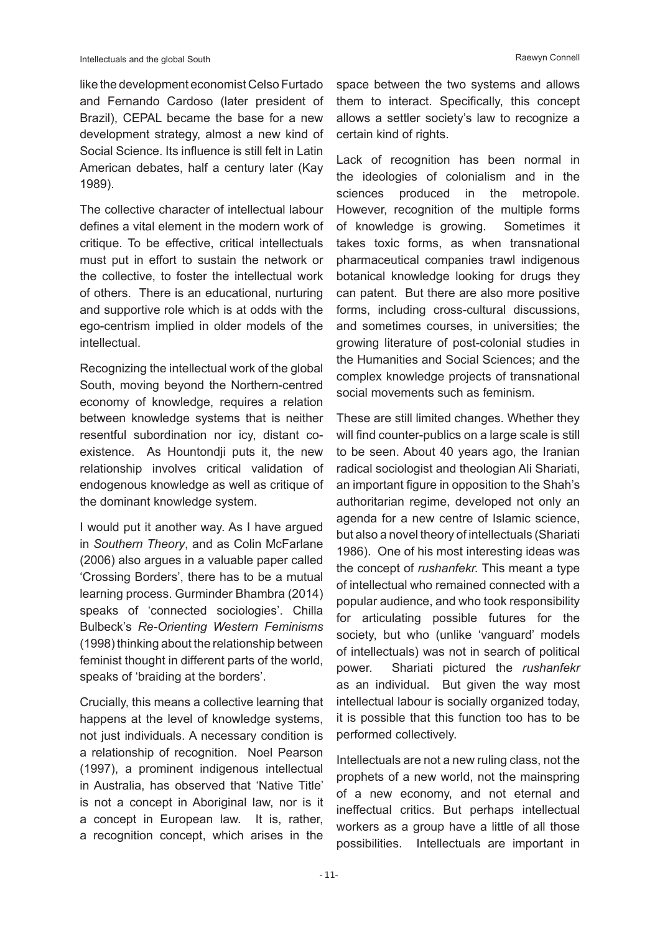like the development economist Celso Furtado and Fernando Cardoso (later president of Brazil), CEPAL became the base for a new development strategy, almost a new kind of Social Science. Its influence is still felt in Latin American debates, half a century later (Kay 1989).

The collective character of intellectual labour defines a vital element in the modern work of critique. To be effective, critical intellectuals must put in effort to sustain the network or the collective, to foster the intellectual work of others. There is an educational, nurturing and supportive role which is at odds with the ego-centrism implied in older models of the intellectual.

Recognizing the intellectual work of the global South, moving beyond the Northern-centred economy of knowledge, requires a relation between knowledge systems that is neither resentful subordination nor icy, distant coexistence. As Hountondji puts it, the new relationship involves critical validation of endogenous knowledge as well as critique of the dominant knowledge system.

I would put it another way. As I have argued in *Southern Theory*, and as Colin McFarlane (2006) also argues in a valuable paper called 'Crossing Borders', there has to be a mutual learning process. Gurminder Bhambra (2014) speaks of 'connected sociologies'. Chilla Bulbeck's *Re-Orienting Western Feminisms*  (1998) thinking about the relationship between feminist thought in different parts of the world, speaks of 'braiding at the borders'.

Crucially, this means a collective learning that happens at the level of knowledge systems, not just individuals. A necessary condition is a relationship of recognition. Noel Pearson (1997), a prominent indigenous intellectual in Australia, has observed that 'Native Title' is not a concept in Aboriginal law, nor is it a concept in European law. It is, rather, a recognition concept, which arises in the

space between the two systems and allows them to interact. Specifically, this concept allows a settler society's law to recognize a certain kind of rights.

Lack of recognition has been normal in the ideologies of colonialism and in the sciences produced in the metropole. However, recognition of the multiple forms of knowledge is growing. Sometimes it takes toxic forms, as when transnational pharmaceutical companies trawl indigenous botanical knowledge looking for drugs they can patent. But there are also more positive forms, including cross-cultural discussions, and sometimes courses, in universities; the growing literature of post-colonial studies in the Humanities and Social Sciences; and the complex knowledge projects of transnational social movements such as feminism.

These are still limited changes. Whether they will find counter-publics on a large scale is still to be seen. About 40 years ago, the Iranian radical sociologist and theologian Ali Shariati, an important figure in opposition to the Shah's authoritarian regime, developed not only an agenda for a new centre of Islamic science, but also a novel theory of intellectuals (Shariati 1986). One of his most interesting ideas was the concept of *rushanfekr.* This meant a type of intellectual who remained connected with a popular audience, and who took responsibility for articulating possible futures for the society, but who (unlike 'vanguard' models of intellectuals) was not in search of political power. Shariati pictured the *rushanfekr* as an individual. But given the way most intellectual labour is socially organized today, it is possible that this function too has to be performed collectively.

Intellectuals are not a new ruling class, not the prophets of a new world, not the mainspring of a new economy, and not eternal and ineffectual critics. But perhaps intellectual workers as a group have a little of all those possibilities. Intellectuals are important in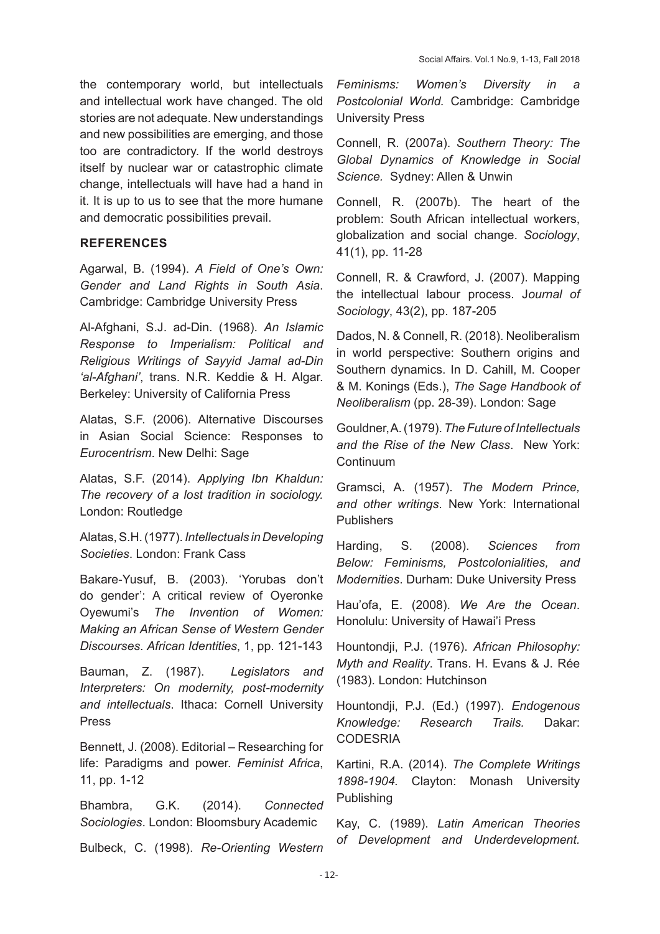the contemporary world, but intellectuals and intellectual work have changed. The old stories are not adequate. New understandings and new possibilities are emerging, and those too are contradictory. If the world destroys itself by nuclear war or catastrophic climate change, intellectuals will have had a hand in it. It is up to us to see that the more humane and democratic possibilities prevail.

#### **REFERENCES**

Agarwal, B. (1994). *A Field of One's Own: Gender and Land Rights in South Asia*. Cambridge: Cambridge University Press

Al-Afghani, S.J. ad-Din. (1968). *An Islamic Response to Imperialism: Political and Religious Writings of Sayyid Jamal ad-Din 'al-Afghani'*, trans. N.R. Keddie & H. Algar. Berkeley: University of California Press

Alatas, S.F. (2006). Alternative Discourses in Asian Social Science: Responses to *Eurocentrism*. New Delhi: Sage

Alatas, S.F. (2014). *Applying Ibn Khaldun: The recovery of a lost tradition in sociology.* London: Routledge

Alatas, S.H. (1977). *Intellectuals in Developing Societies*. London: Frank Cass

Bakare-Yusuf, B. (2003). 'Yorubas don't do gender': A critical review of Oyeronke Oyewumi's *The Invention of Women: Making an African Sense of Western Gender Discourses*. *African Identities*, 1, pp. 121-143

Bauman, Z. (1987). *Legislators and Interpreters: On modernity, post-modernity and intellectuals*. Ithaca: Cornell University Press

Bennett, J. (2008). Editorial – Researching for life: Paradigms and power. *Feminist Africa*, 11, pp. 1-12

Bhambra, G.K. (2014). *Connected Sociologies*. London: Bloomsbury Academic

Bulbeck, C. (1998). *Re-Orienting Western* 

*Feminisms: Women's Diversity in a Postcolonial World.* Cambridge: Cambridge University Press

Connell, R. (2007a). *Southern Theory: The Global Dynamics of Knowledge in Social Science.* Sydney: Allen & Unwin

Connell, R. (2007b). The heart of the problem: South African intellectual workers, globalization and social change. *Sociology*, 41(1), pp. 11-28

Connell, R. & Crawford, J. (2007). Mapping the intellectual labour process. J*ournal of Sociology*, 43(2), pp. 187-205

Dados, N. & Connell, R. (2018). Neoliberalism in world perspective: Southern origins and Southern dynamics. In D. Cahill, M. Cooper & M. Konings (Eds.), *The Sage Handbook of Neoliberalism* (pp. 28-39). London: Sage

Gouldner, A. (1979). *The Future of Intellectuals and the Rise of the New Class*. New York: Continuum

Gramsci, A. (1957). *The Modern Prince, and other writings*. New York: International **Publishers** 

Harding, S. (2008). *Sciences from Below: Feminisms, Postcolonialities, and Modernities*. Durham: Duke University Press

Hau'ofa, E. (2008). *We Are the Ocean*. Honolulu: University of Hawai'i Press

Hountondji, P.J. (1976). *African Philosophy: Myth and Reality*. Trans. H. Evans & J. Rée (1983). London: Hutchinson

Hountondji, P.J. (Ed.) (1997). *Endogenous Knowledge: Research Trails.* Dakar: **CODESRIA** 

Kartini, R.A. (2014). *The Complete Writings 1898-1904.* Clayton: Monash University Publishing

Kay, C. (1989). *Latin American Theories of Development and Underdevelopment.*